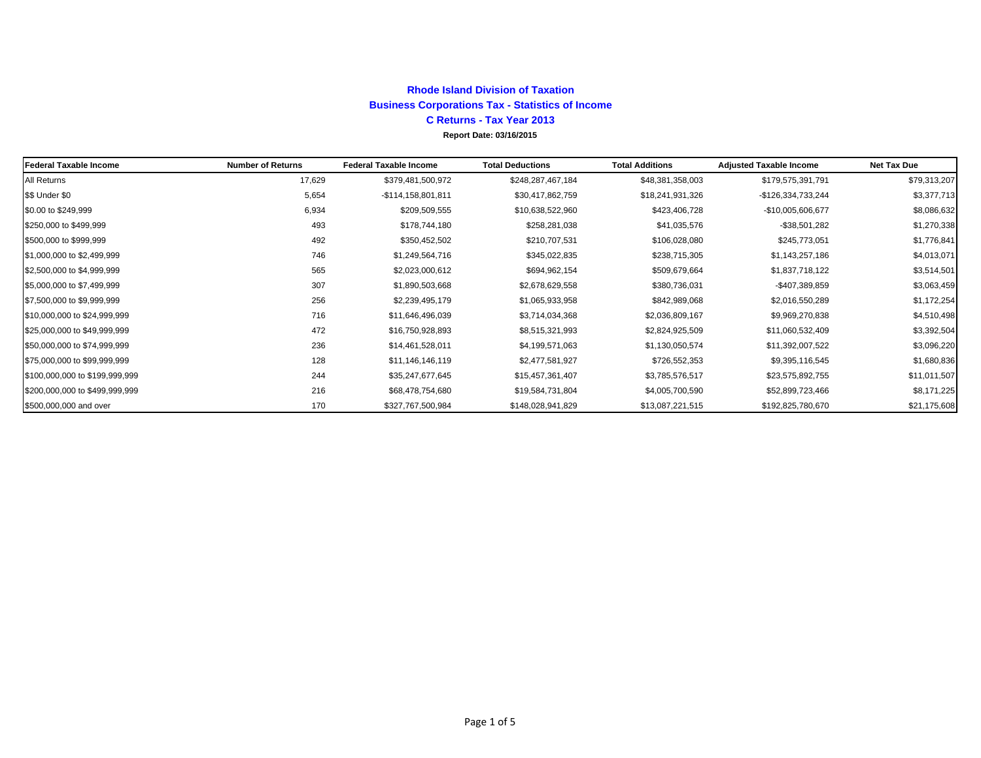#### **Report Date: 03/16/2015 Rhode Island Division of Taxation Business Corporations Tax - Statistics of Income C Returns - Tax Year 2013**

| Federal Taxable Income         | <b>Number of Returns</b> | <b>Federal Taxable Income</b> | <b>Total Deductions</b> | <b>Total Additions</b> | <b>Adjusted Taxable Income</b> | <b>Net Tax Due</b> |
|--------------------------------|--------------------------|-------------------------------|-------------------------|------------------------|--------------------------------|--------------------|
| All Returns                    | 17,629                   | \$379,481,500,972             | \$248,287,467,184       | \$48,381,358,003       | \$179,575,391,791              | \$79,313,207       |
| \$\$ Under \$0                 | 5,654                    | -\$114,158,801,811            | \$30,417,862,759        | \$18,241,931,326       | -\$126,334,733,244             | \$3,377,713        |
| \$0.00 to \$249,999            | 6,934                    | \$209,509,555                 | \$10,638,522,960        | \$423,406,728          | -\$10,005,606,677              | \$8,086,632        |
| \$250,000 to \$499,999         | 493                      | \$178,744,180                 | \$258,281,038           | \$41,035,576           | $-$ \$38,501,282               | \$1,270,338        |
| \$500,000 to \$999,999         | 492                      | \$350,452,502                 | \$210,707,531           | \$106,028,080          | \$245,773,051                  | \$1,776,841        |
| \$1,000,000 to \$2,499,999     | 746                      | \$1,249,564,716               | \$345,022,835           | \$238,715,305          | \$1,143,257,186                | \$4,013,071        |
| \$2,500,000 to \$4,999,999     | 565                      | \$2,023,000,612               | \$694,962,154           | \$509,679,664          | \$1,837,718,122                | \$3,514,501        |
| \$5,000,000 to \$7,499,999     | 307                      | \$1,890,503,668               | \$2,678,629,558         | \$380,736,031          | -\$407,389,859                 | \$3,063,459        |
| \$7,500,000 to \$9,999,999     | 256                      | \$2,239,495,179               | \$1,065,933,958         | \$842,989,068          | \$2,016,550,289                | \$1,172,254        |
| \$10,000,000 to \$24,999,999   | 716                      | \$11,646,496,039              | \$3,714,034,368         | \$2,036,809,167        | \$9,969,270,838                | \$4,510,498        |
| \$25,000,000 to \$49,999,999   | 472                      | \$16,750,928,893              | \$8,515,321,993         | \$2,824,925,509        | \$11,060,532,409               | \$3,392,504        |
| \$50,000,000 to \$74,999,999   | 236                      | \$14,461,528,011              | \$4,199,571,063         | \$1,130,050,574        | \$11,392,007,522               | \$3,096,220        |
| \$75,000,000 to \$99,999,999   | 128                      | \$11,146,146,119              | \$2,477,581,927         | \$726,552,353          | \$9,395,116,545                | \$1,680,836        |
| \$100,000,000 to \$199,999,999 | 244                      | \$35,247,677,645              | \$15,457,361,407        | \$3,785,576,517        | \$23,575,892,755               | \$11,011,507       |
| \$200,000,000 to \$499,999,999 | 216                      | \$68,478,754,680              | \$19,584,731,804        | \$4,005,700,590        | \$52,899,723,466               | \$8,171,225        |
| \$500,000,000 and over         | 170                      | \$327,767,500,984             | \$148,028,941,829       | \$13,087,221,515       | \$192,825,780,670              | \$21,175,608       |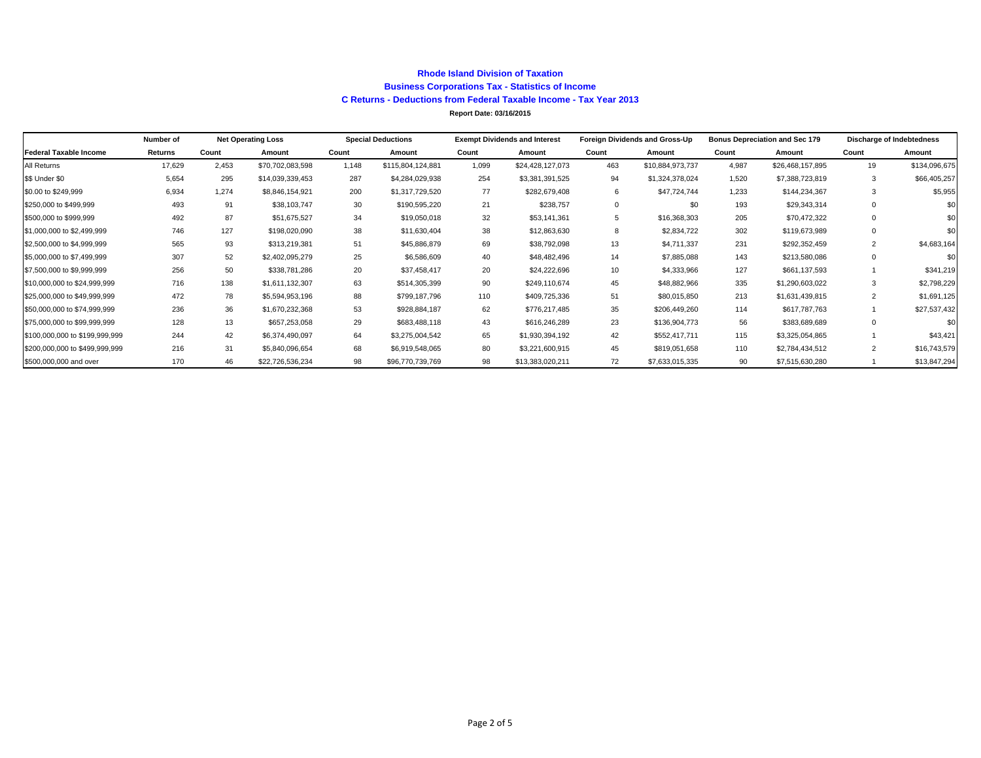#### **Rhode Island Division of Taxation Business Corporations Tax - Statistics of Income C Returns - Deductions from Federal Taxable Income - Tax Year 2013**

**Report Date: 03/16/2015**

|                                | Number of |       | <b>Net Operating Loss</b> |       | <b>Special Deductions</b><br><b>Exempt Dividends and Interest</b> |       |                  | Foreign Dividends and Gross-Up |                  | <b>Bonus Depreciation and Sec 179</b> |                  |                | <b>Discharge of Indebtedness</b> |  |
|--------------------------------|-----------|-------|---------------------------|-------|-------------------------------------------------------------------|-------|------------------|--------------------------------|------------------|---------------------------------------|------------------|----------------|----------------------------------|--|
| Federal Taxable Income         | Returns   | Count | Amount                    | Count | Amount                                                            | Count | Amount           | Count                          | Amount           | Count                                 | Amount           | Count          | Amount                           |  |
| All Returns                    | 17,629    | 2.453 | \$70,702,083,598          | 1.148 | \$115,804,124,881                                                 | 1.099 | \$24,428,127,073 | 463                            | \$10,884,973,737 | 4.987                                 | \$26,468,157,895 | 19             | \$134,096,675                    |  |
| \$\$ Under \$0                 | 5,654     | 295   | \$14,039,339,453          | 287   | \$4,284,029,938                                                   | 254   | \$3,381,391,525  | 94                             | \$1,324,378,024  | 1,520                                 | \$7,388,723,819  | 3              | \$66,405,257                     |  |
| \$0.00 to \$249,999            | 6,934     | 1.274 | \$8,846,154,921           | 200   | \$1,317,729,520                                                   | 77    | \$282,679,408    | 6                              | \$47,724,744     | 1.233                                 | \$144,234,367    | 3              | \$5,955                          |  |
| \$250,000 to \$499,999         | 493       | 91    | \$38,103,747              | 30    | \$190,595,220                                                     | 21    | \$238,757        | $\Omega$                       | \$0              | 193                                   | \$29,343,314     | $\Omega$       | \$0                              |  |
| \$500,000 to \$999,999         | 492       | 87    | \$51,675,527              | 34    | \$19,050,018                                                      | 32    | \$53,141,361     |                                | \$16,368,303     | 205                                   | \$70,472,322     | $\Omega$       | \$0                              |  |
| \$1,000,000 to \$2,499,999     | 746       | 127   | \$198,020,090             | 38    | \$11,630,404                                                      | 38    | \$12,863,630     | -8                             | \$2,834,722      | 302                                   | \$119,673,989    | $\Omega$       | \$0                              |  |
| \$2,500,000 to \$4,999,999     | 565       | 93    | \$313,219,381             | 51    | \$45,886,879                                                      | 69    | \$38,792,098     | 13                             | \$4,711,337      | 231                                   | \$292,352,459    | 2              | \$4,683,164                      |  |
| \$5,000,000 to \$7,499,999     | 307       | 52    | \$2,402,095,279           | 25    | \$6,586,609                                                       | 40    | \$48,482,496     | 14                             | \$7,885,088      | 143                                   | \$213,580,086    | $\Omega$       | \$0                              |  |
| \$7,500,000 to \$9,999,999     | 256       | 50    | \$338,781,286             | 20    | \$37,458,417                                                      | 20    | \$24,222,696     | 10                             | \$4,333,966      | 127                                   | \$661,137,593    |                | \$341,219                        |  |
| \$10,000,000 to \$24,999,999   | 716       | 138   | \$1,611,132,307           | 63    | \$514,305,399                                                     | 90    | \$249,110,674    | 45                             | \$48,882,966     | 335                                   | \$1,290,603,022  | 3              | \$2,798,229                      |  |
| \$25,000,000 to \$49,999,999   | 472       | 78    | \$5,594,953,196           | 88    | \$799,187,796                                                     | 110   | \$409,725,336    | 51                             | \$80,015,850     | 213                                   | \$1,631,439,815  | 2              | \$1,691,125                      |  |
| \$50,000,000 to \$74,999,999   | 236       | 36    | \$1,670,232,368           | 53    | \$928,884,187                                                     | 62    | \$776,217,485    | 35                             | \$206,449,260    | 114                                   | \$617,787,763    |                | \$27,537,432                     |  |
| \$75,000,000 to \$99,999,999   | 128       | 13    | \$657,253,058             | 29    | \$683,488,118                                                     | 43    | \$616,246,289    | 23                             | \$136,904,773    | 56                                    | \$383,689,689    | $\Omega$       |                                  |  |
| \$100,000,000 to \$199,999,999 | 244       | 42    | \$6,374,490,097           | 64    | \$3,275,004,542                                                   | 65    | \$1,930,394,192  | 42                             | \$552,417,711    | 115                                   | \$3,325,054,865  |                | \$43,421                         |  |
| \$200,000,000 to \$499,999,999 | 216       | 31    | \$5,840,096,654           | 68    | \$6,919,548,065                                                   | 80    | \$3,221,600,915  | 45                             | \$819,051,658    | 110                                   | \$2,784,434,512  | $\overline{2}$ | \$16,743,579                     |  |
| \$500,000,000 and over         | 170       | 46    | \$22,726,536,234          | 98    | \$96,770,739,769                                                  | 98    | \$13,383,020,211 | 72                             | \$7,633,015,335  | 90                                    | \$7,515,630,280  |                | \$13,847,294                     |  |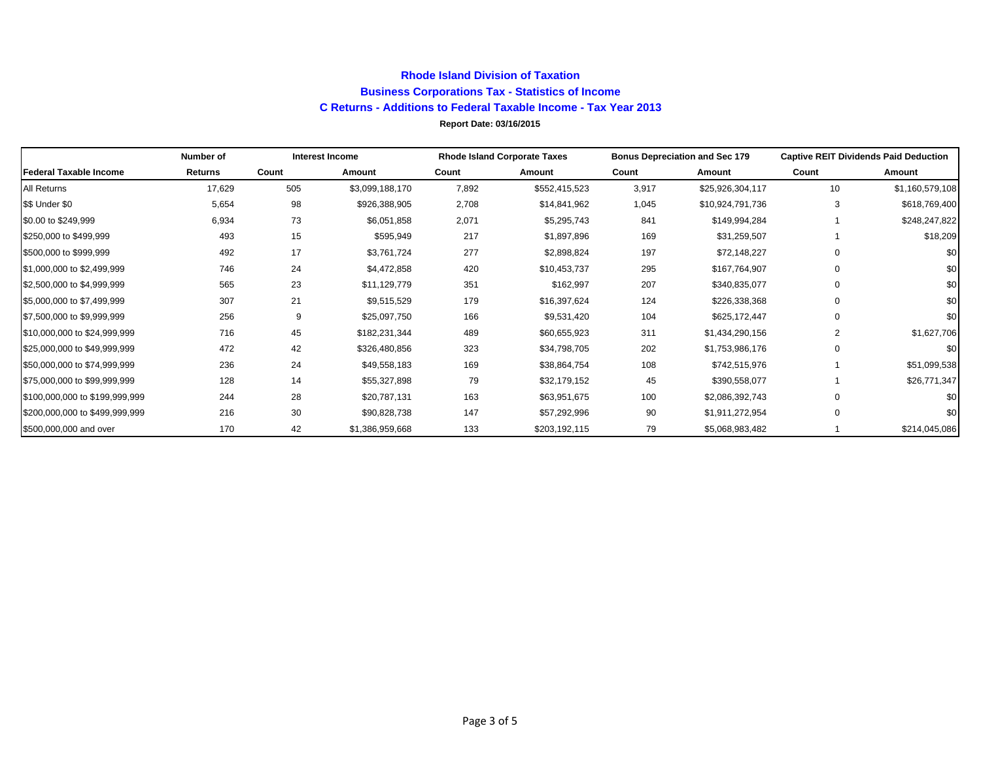## **Rhode Island Division of Taxation Business Corporations Tax - Statistics of Income C Returns - Additions to Federal Taxable Income - Tax Year 2013 Report Date: 03/16/2015**

|                                | Number of |       | <b>Interest Income</b> | <b>Rhode Island Corporate Taxes</b> |               |       | <b>Bonus Depreciation and Sec 179</b> | <b>Captive REIT Dividends Paid Deduction</b> |                 |  |
|--------------------------------|-----------|-------|------------------------|-------------------------------------|---------------|-------|---------------------------------------|----------------------------------------------|-----------------|--|
| <b>Federal Taxable Income</b>  | Returns   | Count | Amount                 | Count                               | Amount        | Count | Amount                                | Count                                        | Amount          |  |
| All Returns                    | 17,629    | 505   | \$3,099,188,170        | 7,892                               | \$552,415,523 | 3,917 | \$25,926,304,117                      | 10                                           | \$1,160,579,108 |  |
| \$\$ Under \$0                 | 5,654     | 98    | \$926,388,905          | 2,708                               | \$14,841,962  | 1,045 | \$10,924,791,736                      | 3                                            | \$618,769,400   |  |
| \$0.00 to \$249,999            | 6,934     | 73    | \$6,051,858            | 2,071                               | \$5,295,743   | 841   | \$149,994,284                         |                                              | \$248,247,822   |  |
| \$250,000 to \$499,999         | 493       | 15    | \$595,949              | 217                                 | \$1,897,896   | 169   | \$31,259,507                          |                                              | \$18,209        |  |
| \$500,000 to \$999,999         | 492       | 17    | \$3,761,724            | 277                                 | \$2,898,824   | 197   | \$72,148,227                          |                                              | \$0             |  |
| \$1,000,000 to \$2,499,999     | 746       | 24    | \$4,472,858            | 420                                 | \$10,453,737  | 295   | \$167,764,907                         |                                              | \$0             |  |
| \$2,500,000 to \$4,999,999     | 565       | 23    | \$11,129,779           | 351                                 | \$162,997     | 207   | \$340,835,077                         |                                              | \$0             |  |
| \$5,000,000 to \$7,499,999     | 307       | 21    | \$9,515,529            | 179                                 | \$16,397,624  | 124   | \$226,338,368                         |                                              | \$0             |  |
| \$7,500,000 to \$9,999,999     | 256       | 9     | \$25,097,750           | 166                                 | \$9,531,420   | 104   | \$625,172,447                         |                                              | \$0             |  |
| \$10,000,000 to \$24,999,999   | 716       | 45    | \$182,231,344          | 489                                 | \$60,655,923  | 311   | \$1,434,290,156                       | 2                                            | \$1,627,706     |  |
| \$25,000,000 to \$49,999,999   | 472       | 42    | \$326,480,856          | 323                                 | \$34,798,705  | 202   | \$1,753,986,176                       | 0                                            | \$0             |  |
| \$50,000,000 to \$74,999,999   | 236       | 24    | \$49,558,183           | 169                                 | \$38,864,754  | 108   | \$742,515,976                         |                                              | \$51,099,538    |  |
| \$75,000,000 to \$99,999,999   | 128       | 14    | \$55,327,898           | 79                                  | \$32,179,152  | 45    | \$390,558,077                         |                                              | \$26,771,347    |  |
| \$100,000,000 to \$199,999,999 | 244       | 28    | \$20,787,131           | 163                                 | \$63,951,675  | 100   | \$2,086,392,743                       |                                              | \$0             |  |
| \$200,000,000 to \$499,999,999 | 216       | 30    | \$90,828,738           | 147                                 | \$57,292,996  | 90    | \$1,911,272,954                       | $\Omega$                                     | \$0             |  |
| \$500,000,000 and over         | 170       | 42    | \$1,386,959,668        | 133                                 | \$203,192,115 | 79    | \$5,068,983,482                       |                                              | \$214,045,086   |  |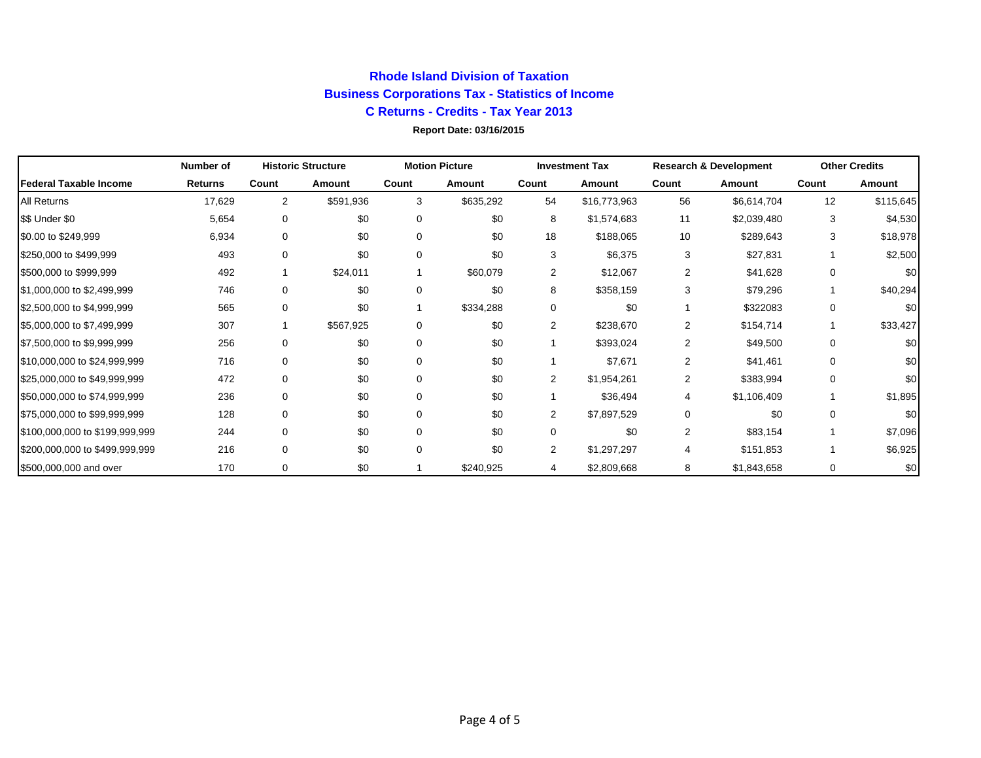# **Rhode Island Division of Taxation Business Corporations Tax - Statistics of Income C Returns - Credits - Tax Year 2013**

### **Report Date: 03/16/2015**

|                                | Number of      |          | <b>Historic Structure</b> | <b>Motion Picture</b> |           |                | <b>Investment Tax</b> |                | <b>Research &amp; Development</b> |          | <b>Other Credits</b> |  |
|--------------------------------|----------------|----------|---------------------------|-----------------------|-----------|----------------|-----------------------|----------------|-----------------------------------|----------|----------------------|--|
| Federal Taxable Income         | <b>Returns</b> | Count    | Amount                    | Count                 | Amount    | Count          | Amount                | Count          | Amount                            | Count    | Amount               |  |
| <b>All Returns</b>             | 17,629         | 2        | \$591,936                 | 3                     | \$635,292 | 54             | \$16,773,963          | 56             | \$6,614,704                       | 12       | \$115,645            |  |
| \$\$ Under \$0                 | 5,654          | 0        | \$0                       | $\mathbf 0$           | \$0       | 8              | \$1,574,683           | 11             | \$2,039,480                       | 3        | \$4,530              |  |
| \$0.00 to \$249,999            | 6,934          | 0        | \$0                       | 0                     | \$0       | 18             | \$188,065             | 10             | \$289,643                         | 3        | \$18,978             |  |
| \$250,000 to \$499,999         | 493            | 0        | \$0                       | $\mathbf 0$           | \$0       | 3              | \$6,375               | 3              | \$27,831                          |          | \$2,500              |  |
| \$500,000 to \$999,999         | 492            |          | \$24,011                  |                       | \$60,079  | 2              | \$12,067              | $\overline{2}$ | \$41,628                          | 0        | \$0                  |  |
| \$1,000,000 to \$2,499,999     | 746            | $\Omega$ | \$0                       | $\Omega$              | \$0       | 8              | \$358,159             | 3              | \$79,296                          |          | \$40,294             |  |
| \$2,500,000 to \$4,999,999     | 565            | 0        | \$0                       |                       | \$334,288 | 0              | \$0                   |                | \$322083                          | 0        | \$0                  |  |
| \$5,000,000 to \$7,499,999     | 307            |          | \$567,925                 | 0                     | \$0       | 2              | \$238,670             | 2              | \$154,714                         |          | \$33,427             |  |
| \$7,500,000 to \$9,999,999     | 256            | $\Omega$ | \$0                       | 0                     | \$0       |                | \$393,024             | 2              | \$49,500                          | 0        | \$0                  |  |
| \$10,000,000 to \$24,999,999   | 716            | 0        | \$0                       | 0                     | \$0       |                | \$7,671               | $\overline{2}$ | \$41,461                          | 0        | \$0                  |  |
| \$25,000,000 to \$49,999,999   | 472            | 0        | \$0                       | 0                     | \$0       | $\overline{2}$ | \$1,954,261           | 2              | \$383,994                         | $\Omega$ | \$0                  |  |
| \$50,000,000 to \$74,999,999   | 236            | 0        | \$0                       | 0                     | \$0       |                | \$36,494              | 4              | \$1,106,409                       |          | \$1,895              |  |
| \$75,000,000 to \$99,999,999   | 128            | 0        | \$0                       | $\mathbf 0$           | \$0       | $\overline{2}$ | \$7,897,529           | $\mathbf 0$    | \$0                               | $\Omega$ | \$0                  |  |
| \$100,000,000 to \$199,999,999 | 244            | 0        | \$0                       | $\Omega$              | \$0       | 0              | \$0                   | 2              | \$83,154                          |          | \$7,096              |  |
| \$200,000,000 to \$499,999,999 | 216            | $\Omega$ | \$0                       | $\Omega$              | \$0       | 2              | \$1,297,297           | $\overline{4}$ | \$151,853                         |          | \$6,925              |  |
| \$500,000,000 and over         | 170            | $\Omega$ | \$0                       |                       | \$240,925 | 4              | \$2,809,668           | 8              | \$1,843,658                       | 0        | \$0                  |  |